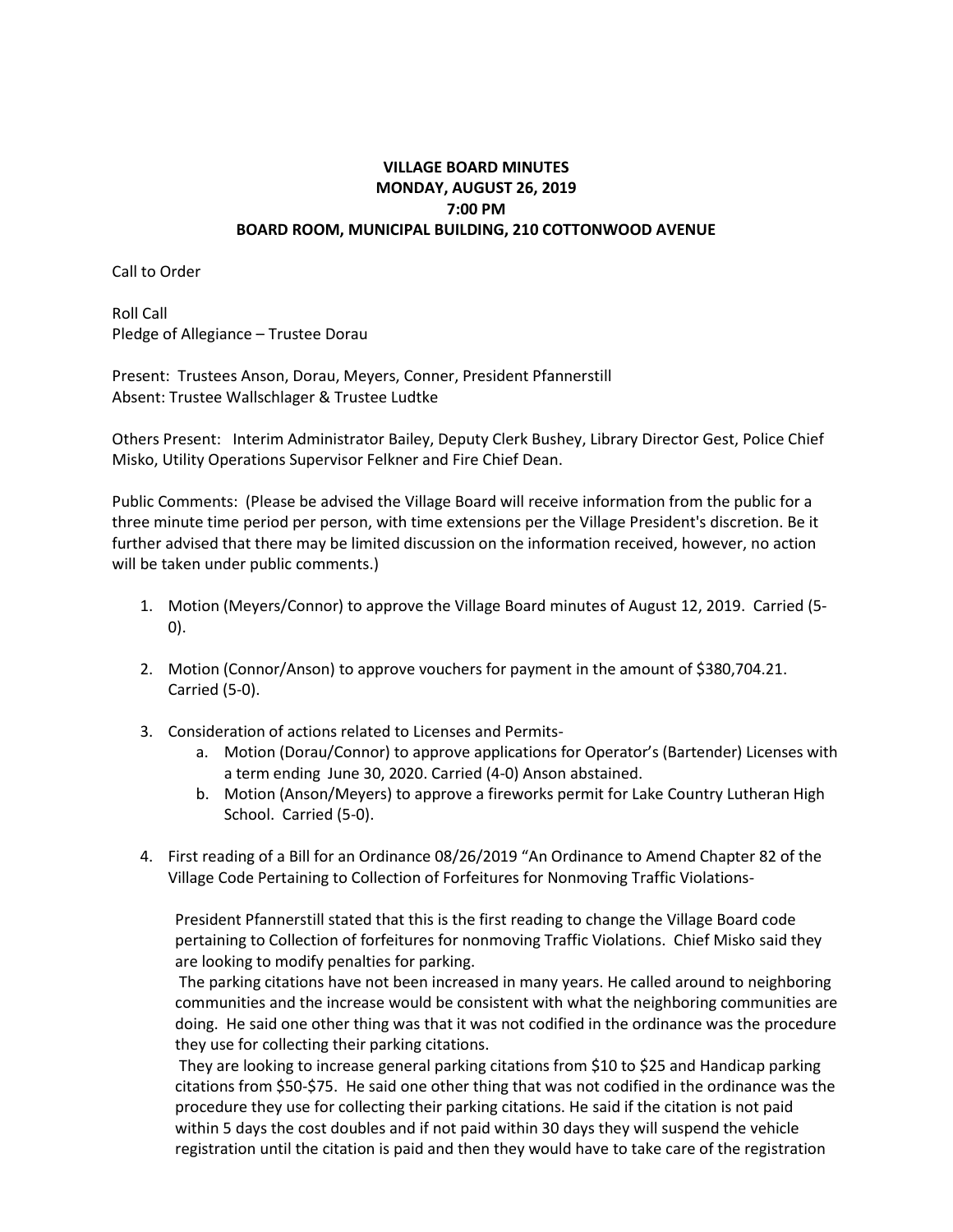# **VILLAGE BOARD MINUTES MONDAY, AUGUST 26, 2019 7:00 PM BOARD ROOM, MUNICIPAL BUILDING, 210 COTTONWOOD AVENUE**

Call to Order

Roll Call Pledge of Allegiance – Trustee Dorau

Present: Trustees Anson, Dorau, Meyers, Conner, President Pfannerstill Absent: Trustee Wallschlager & Trustee Ludtke

Others Present: Interim Administrator Bailey, Deputy Clerk Bushey, Library Director Gest, Police Chief Misko, Utility Operations Supervisor Felkner and Fire Chief Dean.

Public Comments: (Please be advised the Village Board will receive information from the public for a three minute time period per person, with time extensions per the Village President's discretion. Be it further advised that there may be limited discussion on the information received, however, no action will be taken under public comments.)

- 1. Motion (Meyers/Connor) to approve the Village Board minutes of August 12, 2019. Carried (5- 0).
- 2. Motion (Connor/Anson) to approve vouchers for payment in the amount of \$380,704.21. Carried (5-0).
- 3. Consideration of actions related to Licenses and Permits
	- a. Motion (Dorau/Connor) to approve applications for Operator's (Bartender) Licenses with a term ending June 30, 2020. Carried (4-0) Anson abstained.
	- b. Motion (Anson/Meyers) to approve a fireworks permit for Lake Country Lutheran High School. Carried (5-0).
- 4. First reading of a Bill for an Ordinance 08/26/2019 "An Ordinance to Amend Chapter 82 of the Village Code Pertaining to Collection of Forfeitures for Nonmoving Traffic Violations-

President Pfannerstill stated that this is the first reading to change the Village Board code pertaining to Collection of forfeitures for nonmoving Traffic Violations. Chief Misko said they are looking to modify penalties for parking.

The parking citations have not been increased in many years. He called around to neighboring communities and the increase would be consistent with what the neighboring communities are doing. He said one other thing was that it was not codified in the ordinance was the procedure they use for collecting their parking citations.

They are looking to increase general parking citations from \$10 to \$25 and Handicap parking citations from \$50-\$75. He said one other thing that was not codified in the ordinance was the procedure they use for collecting their parking citations. He said if the citation is not paid within 5 days the cost doubles and if not paid within 30 days they will suspend the vehicle registration until the citation is paid and then they would have to take care of the registration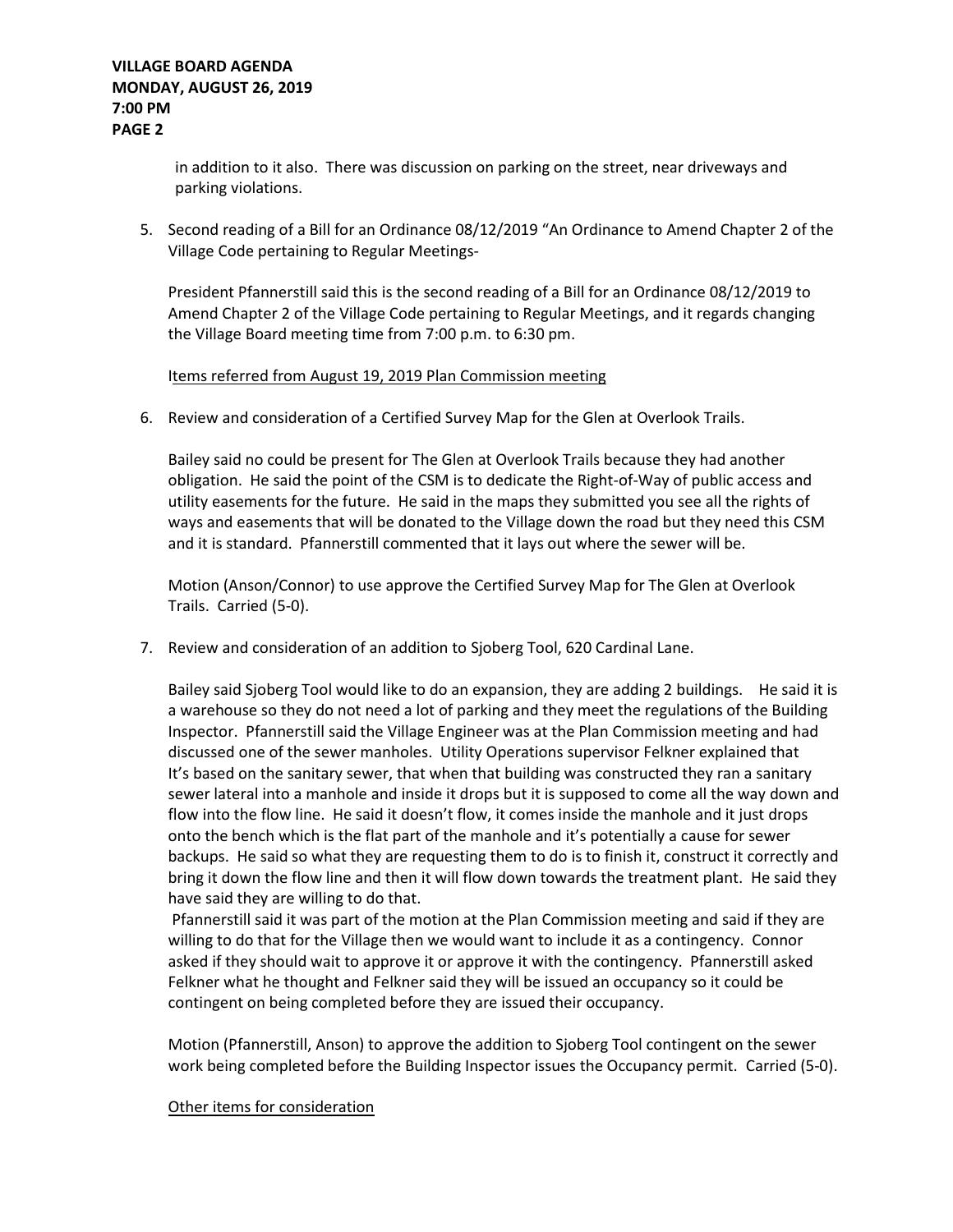## **VILLAGE BOARD AGENDA MONDAY, AUGUST 26, 2019 7:00 PM PAGE 2**

in addition to it also. There was discussion on parking on the street, near driveways and parking violations.

5. Second reading of a Bill for an Ordinance 08/12/2019 "An Ordinance to Amend Chapter 2 of the Village Code pertaining to Regular Meetings-

President Pfannerstill said this is the second reading of a Bill for an Ordinance 08/12/2019 to Amend Chapter 2 of the Village Code pertaining to Regular Meetings, and it regards changing the Village Board meeting time from 7:00 p.m. to 6:30 pm.

### Items referred from August 19, 2019 Plan Commission meeting

6. Review and consideration of a Certified Survey Map for the Glen at Overlook Trails.

Bailey said no could be present for The Glen at Overlook Trails because they had another obligation. He said the point of the CSM is to dedicate the Right-of-Way of public access and utility easements for the future. He said in the maps they submitted you see all the rights of ways and easements that will be donated to the Village down the road but they need this CSM and it is standard. Pfannerstill commented that it lays out where the sewer will be.

Motion (Anson/Connor) to use approve the Certified Survey Map for The Glen at Overlook Trails. Carried (5-0).

7. Review and consideration of an addition to Sjoberg Tool, 620 Cardinal Lane.

Bailey said Sjoberg Tool would like to do an expansion, they are adding 2 buildings. He said it is a warehouse so they do not need a lot of parking and they meet the regulations of the Building Inspector. Pfannerstill said the Village Engineer was at the Plan Commission meeting and had discussed one of the sewer manholes. Utility Operations supervisor Felkner explained that It's based on the sanitary sewer, that when that building was constructed they ran a sanitary sewer lateral into a manhole and inside it drops but it is supposed to come all the way down and flow into the flow line. He said it doesn't flow, it comes inside the manhole and it just drops onto the bench which is the flat part of the manhole and it's potentially a cause for sewer backups. He said so what they are requesting them to do is to finish it, construct it correctly and bring it down the flow line and then it will flow down towards the treatment plant. He said they have said they are willing to do that.

Pfannerstill said it was part of the motion at the Plan Commission meeting and said if they are willing to do that for the Village then we would want to include it as a contingency. Connor asked if they should wait to approve it or approve it with the contingency. Pfannerstill asked Felkner what he thought and Felkner said they will be issued an occupancy so it could be contingent on being completed before they are issued their occupancy.

Motion (Pfannerstill, Anson) to approve the addition to Sjoberg Tool contingent on the sewer work being completed before the Building Inspector issues the Occupancy permit. Carried (5-0).

#### Other items for consideration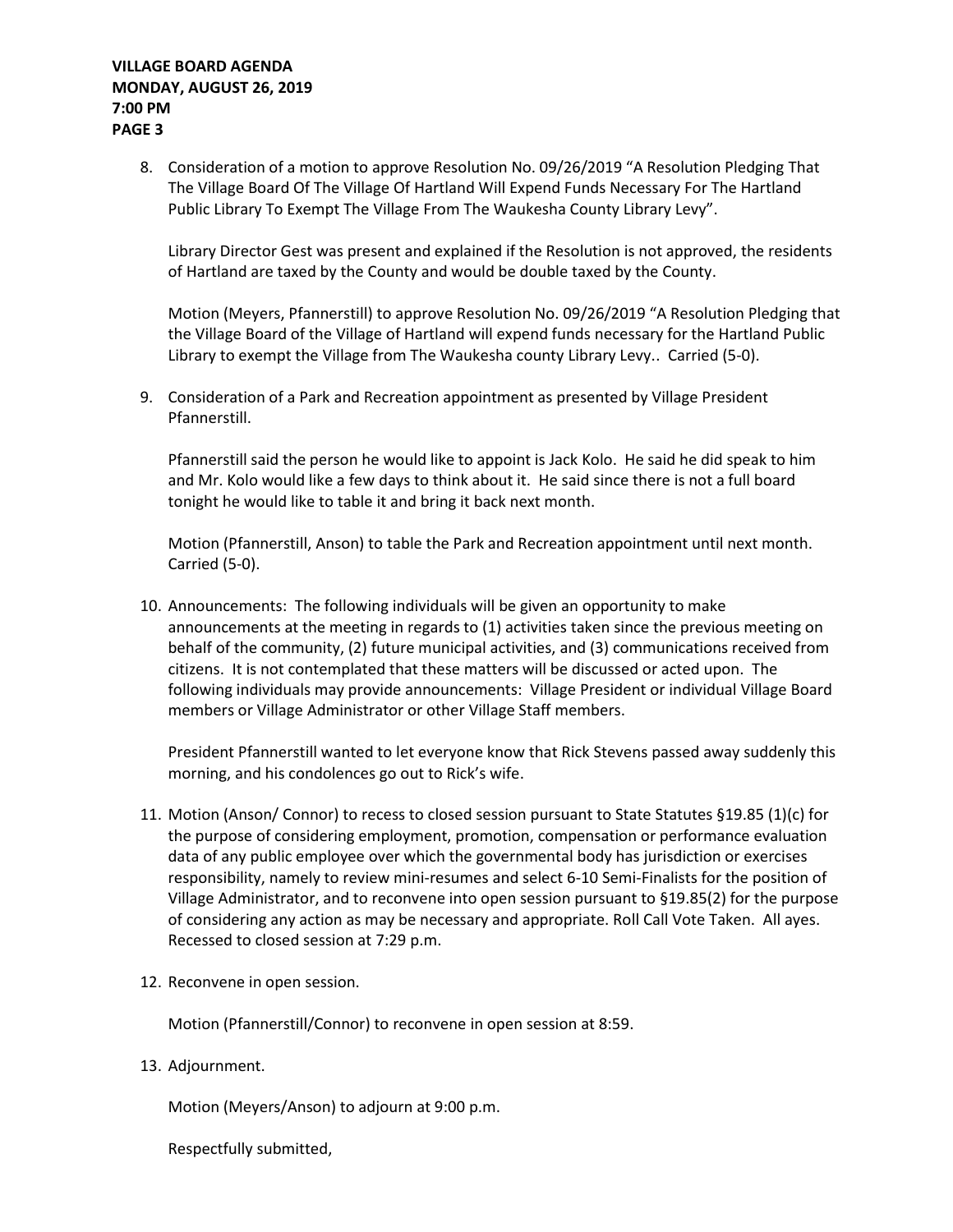## **VILLAGE BOARD AGENDA MONDAY, AUGUST 26, 2019 7:00 PM PAGE 3**

8. Consideration of a motion to approve Resolution No. 09/26/2019 "A Resolution Pledging That The Village Board Of The Village Of Hartland Will Expend Funds Necessary For The Hartland Public Library To Exempt The Village From The Waukesha County Library Levy".

Library Director Gest was present and explained if the Resolution is not approved, the residents of Hartland are taxed by the County and would be double taxed by the County.

Motion (Meyers, Pfannerstill) to approve Resolution No. 09/26/2019 "A Resolution Pledging that the Village Board of the Village of Hartland will expend funds necessary for the Hartland Public Library to exempt the Village from The Waukesha county Library Levy.. Carried (5-0).

9. Consideration of a Park and Recreation appointment as presented by Village President Pfannerstill.

Pfannerstill said the person he would like to appoint is Jack Kolo. He said he did speak to him and Mr. Kolo would like a few days to think about it. He said since there is not a full board tonight he would like to table it and bring it back next month.

Motion (Pfannerstill, Anson) to table the Park and Recreation appointment until next month. Carried (5-0).

10. Announcements: The following individuals will be given an opportunity to make announcements at the meeting in regards to (1) activities taken since the previous meeting on behalf of the community, (2) future municipal activities, and (3) communications received from citizens. It is not contemplated that these matters will be discussed or acted upon. The following individuals may provide announcements: Village President or individual Village Board members or Village Administrator or other Village Staff members.

President Pfannerstill wanted to let everyone know that Rick Stevens passed away suddenly this morning, and his condolences go out to Rick's wife.

- 11. Motion (Anson/ Connor) to recess to closed session pursuant to State Statutes §19.85 (1)(c) for the purpose of considering employment, promotion, compensation or performance evaluation data of any public employee over which the governmental body has jurisdiction or exercises responsibility, namely to review mini-resumes and select 6-10 Semi-Finalists for the position of Village Administrator, and to reconvene into open session pursuant to §19.85(2) for the purpose of considering any action as may be necessary and appropriate. Roll Call Vote Taken. All ayes. Recessed to closed session at 7:29 p.m.
- 12. Reconvene in open session.

Motion (Pfannerstill/Connor) to reconvene in open session at 8:59.

13. Adjournment.

Motion (Meyers/Anson) to adjourn at 9:00 p.m.

Respectfully submitted,